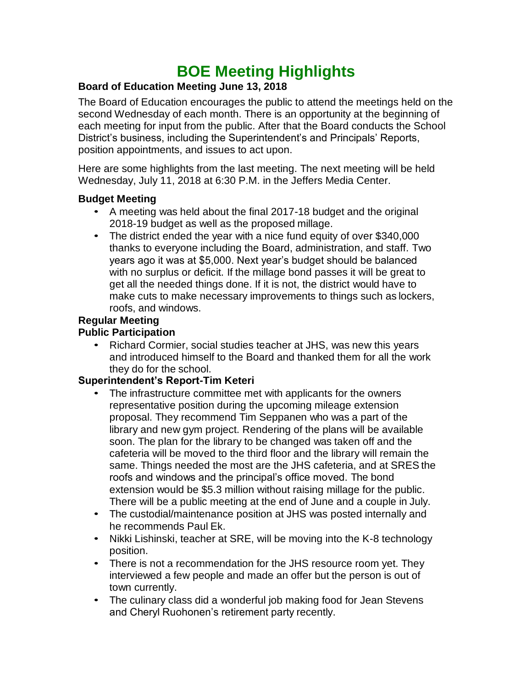# **BOE Meeting Highlights**

#### **Board of Education Meeting June 13, 2018**

 The Board of Education encourages the public to attend the meetings held on the second Wednesday of each month. There is an opportunity at the beginning of each meeting for input from the public. After that the Board conducts the School District's business, including the Superintendent's and Principals' Reports, position appointments, and issues to act upon.

 Here are some highlights from the last meeting. The next meeting will be held Wednesday, July 11, 2018 at 6:30 P.M. in the Jeffers Media Center.

#### **Budget Meeting**

- • A meeting was held about the final 2017-18 budget and the original 2018-19 budget as well as the proposed millage.
- The district ended the year with a nice fund equity of over \$340,000 thanks to everyone including the Board, administration, and staff. Two years ago it was at \$5,000. Next year's budget should be balanced with no surplus or deficit. If the millage bond passes it will be great to get all the needed things done. If it is not, the district would have to make cuts to make necessary improvements to things such as lockers, roofs, and windows.

#### **Regular Meeting**

#### **Public Participation**

 • Richard Cormier, social studies teacher at JHS, was new this years and introduced himself to the Board and thanked them for all the work they do for the school.

## **Superintendent's Report-Tim Keteri**

- • The infrastructure committee met with applicants for the owners representative position during the upcoming mileage extension proposal. They recommend Tim Seppanen who was a part of the library and new gym project. Rendering of the plans will be available soon. The plan for the library to be changed was taken off and the cafeteria will be moved to the third floor and the library will remain the same. Things needed the most are the JHS cafeteria, and at SRES the roofs and windows and the principal's office moved. The bond extension would be \$5.3 million without raising millage for the public. There will be a public meeting at the end of June and a couple in July.
- • The custodial/maintenance position at JHS was posted internally and he recommends Paul Ek.
- • Nikki Lishinski, teacher at SRE, will be moving into the K-8 technology position.
- • There is not a recommendation for the JHS resource room yet. They interviewed a few people and made an offer but the person is out of town currently.
- The culinary class did a wonderful job making food for Jean Stevens and Cheryl Ruohonen's retirement party recently.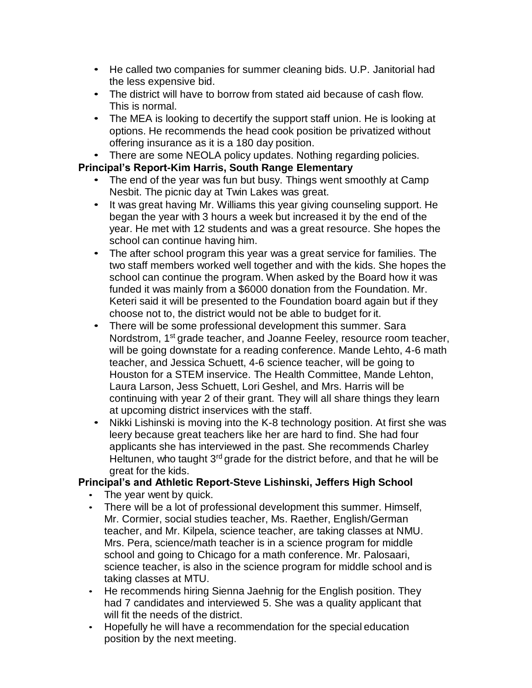- • He called two companies for summer cleaning bids. U.P. Janitorial had the less expensive bid.
- • The district will have to borrow from stated aid because of cash flow. This is normal.
- • The MEA is looking to decertify the support staff union. He is looking at options. He recommends the head cook position be privatized without offering insurance as it is a 180 day position.
- There are some NEOLA policy updates. Nothing regarding policies.

## **Principal's Report-Kim Harris, South Range Elementary**

- • The end of the year was fun but busy. Things went smoothly at Camp Nesbit. The picnic day at Twin Lakes was great.
- • It was great having Mr. Williams this year giving counseling support. He began the year with 3 hours a week but increased it by the end of the year. He met with 12 students and was a great resource. She hopes the school can continue having him.
- • The after school program this year was a great service for families. The two staff members worked well together and with the kids. She hopes the school can continue the program. When asked by the Board how it was funded it was mainly from a \$6000 donation from the Foundation. Mr. Keteri said it will be presented to the Foundation board again but if they choose not to, the district would not be able to budget for it.
- • There will be some professional development this summer. Sara Nordstrom, 1<sup>st</sup> grade teacher, and Joanne Feeley, resource room teacher, will be going downstate for a reading conference. Mande Lehto, 4-6 math teacher, and Jessica Schuett, 4-6 science teacher, will be going to Houston for a STEM inservice. The Health Committee, Mande Lehton, Laura Larson, Jess Schuett, Lori Geshel, and Mrs. Harris will be continuing with year 2 of their grant. They will all share things they learn at upcoming district inservices with the staff.
- • Nikki Lishinski is moving into the K-8 technology position. At first she was leery because great teachers like her are hard to find. She had four applicants she has interviewed in the past. She recommends Charley Heltunen, who taught 3<sup>rd</sup> grade for the district before, and that he will be great for the kids.

## **Principal's and Athletic Report-Steve Lishinski, Jeffers High School**

- The year went by quick.
- • There will be a lot of professional development this summer. Himself, Mr. Cormier, social studies teacher, Ms. Raether, English/German teacher, and Mr. Kilpela, science teacher, are taking classes at NMU. Mrs. Pera, science/math teacher is in a science program for middle school and going to Chicago for a math conference. Mr. Palosaari, science teacher, is also in the science program for middle school and is taking classes at MTU.
- • He recommends hiring Sienna Jaehnig for the English position. They had 7 candidates and interviewed 5. She was a quality applicant that will fit the needs of the district.
- • Hopefully he will have a recommendation for the special education position by the next meeting.